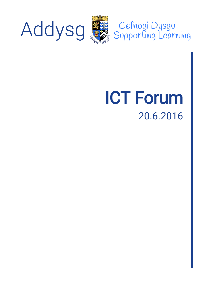

Cefnogi Dysgu<br>Supporting Learning

# ICT Forum 20.6.2016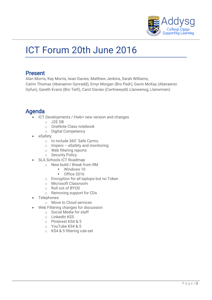

# ICT Forum 20th June 2016

# Present

Alan Morris, Kay Morris, Iwan Davies, Matthew Jenkins, Sarah Williams, Catrin Thomas (Aberaeron Gynradd), Emyr Morgan (Bro Pedr), Gavin McKay (Aberaeron Gyfun), Gareth Evans (Bro Teifi), Carol Davies (Cwrtnewydd, Llanwenog, Llanwnnen)

# Agenda

- ICT Developments / Hwb+ new version and changes
	- o J2E DB
	- o OneNote Class notebook
	- o Digital Competency
- eSafety
	- o to include 360˚ Safe Cymru
	- o Impero eSafety and monitoring
	- o Web filtering reports
	- o Security Policy
- SLA Schools ICT Roadmap
	- o New build / Break from RM
		- Windows 10
		- Office 2016
	- o Encryption for all laptops but no Token
	- o Microsoft Classroom
	- o Roll out of BYOD
	- o Removing support for CDs
- Telephones
	- o Move to Cloud services
- Web Filtering changes for discussion
	- o Social Media for staff
	- $\circ$  LinkedIn KS5
	- o Pinterest KS4 & 5
	- o YouTube KS4 & 5
	- o KS4 & 5 filtering rule-set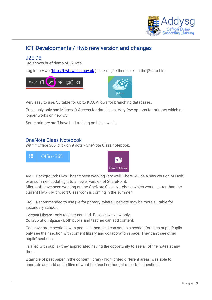

# ICT Developments / Hwb new version and changes

#### J2E DB

KM shows brief demo of J2Data.

Log in to Hwb [\(http://hwb.wales.gov.uk](http://hwb.wales.gov.uk/)) click on j2e then click on the j2data tile.





Very easy to use. Suitable for up to KS3. Allows for branching databases.

Previously only had Microsoft Access for databases. Very few options for primary which no longer works on new OS.

Some primary staff have had training on it last week.

#### OneNote Class Notebook

Within Office 365, click on 9 dots - OneNote Class notebook.



AM – Background: Hwb+ hasn't been working very well. There will be a new version of Hwb+ over summer, updating it to a newer version of SharePoint.

Microsoft have been working on the OneNote Class Notebook which works better than the current Hwb+. Microsoft Classroom is coming in the summer.

KM – Recommended to use j2e for primary, where OneNote may be more suitable for secondary schools

Content Library - only teacher can add. Pupils have view only. Collaboration Space - Both pupils and teacher can add content.

Can have more sections with pages in them and can set up a section for each pupil. Pupils only see their section with content library and collaboration space. They can't see other pupils' sections.

Trialled with pupils - they appreciated having the opportunity to see all of the notes at any time.

Example of past paper in the content library - highlighted different areas, was able to annotate and add audio files of what the teacher thought of certain questions.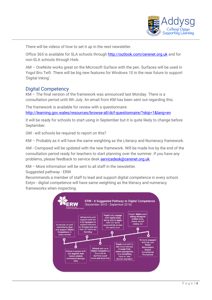

There will be videos of how to set it up in the next newsletter.

Office 365 is available for SLA schools through<http://outlook.com/cerenet.org.uk> and for non-SLA schools through Hwb.

AM – OneNote works great on the Microsoft Surface with the pen. Surfaces will be used in Ysgol Bro Teifi. There will be big new features for Windows 10 in the near future to support 'Digital Inking'.

#### Digital Competency

KM – The final version of the framework was announced last Monday. There is a consultation period until 4th July. An email from KM has been sent out regarding this.

The framework is available for review with a questionnaire: <http://learning.gov.wales/resources/browse-all/dcf-questionnaire/?skip=1&lang=en>

It will be ready for schools to start using in September but it is quite likely to change before September.

GM - will schools be required to report on this?

KM – Probably as it will have the same weighting as the Literacy and Numeracy framework.

AM - Cwmpawd will be updated with the new framework. Will be made live by the end of the consultation period ready for teachers to start planning over the summer. If you have any problems, please feedback to service desk [servicedesk@cerenet.org.uk.](mailto:servicedesk@cerenet.org.uk)

KM – More information will be sent to all staff in the newsletter.

Suggested pathway - ERW

Recommends a member of staff to lead and support digital competence in every school. Estyn - digital competence will have same weighting as the literacy and numeracy frameworks when inspecting.

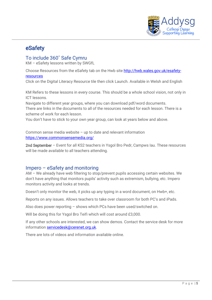

# eSafety

#### To include 360˚ Safe Cymru

KM – eSafety lessons written by SWGfL

Choose Resources from the eSafety tab on the Hwb site [http://hwb.wales.gov.uk/esafety](http://hwb.wales.gov.uk/esafety-resources)[resources](http://hwb.wales.gov.uk/esafety-resources)

Click on the Digital Literacy Resource tile then click Launch. Available in Welsh and English

KM Refers to these lessons in every course. This should be a whole school vision, not only in ICT lessons.

Navigate to different year groups, where you can download pdf/word documents. There are links in the documents to all of the resources needed for each lesson. There is a scheme of work for each lesson.

You don't have to stick to your own year group, can look at years below and above.

Common sense media website – up to date and relevant information <https://www.commonsensemedia.org/>

2nd September – Event for all KS2 teachers in Ysgol Bro Pedr, Campws Iau. These resources will be made available to all teachers attending.

#### Impero – eSafety and monitoring

AM – We already have web filtering to stop/prevent pupils accessing certain websites. We don't have anything that monitors pupils' activity such as extremism, bullying, etc. Impero monitors activity and looks at trends.

Doesn't only monitor the web, it picks up any typing in a word document, on Hwb+, etc.

Reports on any issues. Allows teachers to take over classroom for both PC's and iPads.

Also does power reporting – shows which PCs have been used/switched on.

Will be doing this for Ysgol Bro Teifi which will cost around £3,000.

If any other schools are interested, we can show demos. Contact the service desk for more information [servicedesk@cerenet.org.uk.](mailto:servicedesk@cerenet.org.uk)

There are lots of videos and information available online.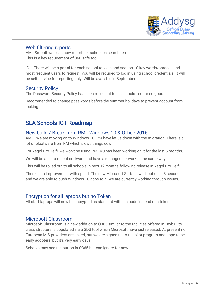

#### Web filtering reports

AM - Smoothwall can now report per school on search terms This is a key requirement of 360 safe tool

ID – There will be a portal for each school to login and see top 10 key words/phrases and most frequent users to request. You will be required to log in using school credentials. It will be self-service for reporting only. Will be available in September.

#### Security Policy

The Password Security Policy has been rolled out to all schools - so far so good.

Recommended to change passwords before the summer holidays to prevent account from locking.

# SLA Schools ICT Roadmap

#### New build / Break from RM - Windows 10 & Office 2016

AM – We are moving on to Windows 10. RM have let us down with the migration. There is a lot of bloatware from RM which slows things down.

For Ysgol Bro Teifi, we won't be using RM. MJ has been working on it for the last 6 months.

We will be able to rollout software and have a managed network in the same way.

This will be rolled out to all schools in next 12 months following release in Ysgol Bro Teifi.

There is an improvement with speed. The new Microsoft Surface will boot up in 3 seconds and we are able to push Windows 10 apps to it. We are currently working through issues.

#### Encryption for all laptops but no Token

All staff laptops will now be encrypted as standard with pin code instead of a token.

#### Microsoft Classroom

Microsoft Classroom is a new addition to O365 similar to the facilities offered in Hwb+. Its class structure is populated via a SDS tool which Microsoft have just released. At present no European MIS providers are linked, but we are signed up to the pilot program and hope to be early adopters, but it's very early days.

Schools may see the button in O365 but can ignore for now.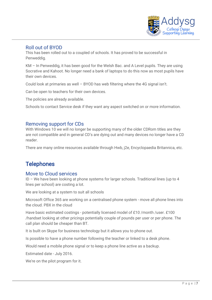

#### Roll out of BYOD

This has been rolled out to a coupled of schools. It has proved to be successful in Penweddig.

KM – In Penweddig, it has been good for the Welsh Bac. and A Level pupils. They are using Socrative and Kahoot. No longer need a bank of laptops to do this now as most pupils have their own devices.

Could look at primaries as well – BYOD has web filtering where the 4G signal isn't.

Can be open to teachers for their own devices.

The policies are already available.

Schools to contact Service desk if they want any aspect switched on or more information.

#### Removing support for CDs

With Windows 10 we will no longer be supporting many of the older CDRom titles are they are not compatible and in general CD's are dying out and many devices no longer have a CD reader.

There are many online resources available through Hwb, j2e, Encyclopaedia Britannica, etc.

## **Telephones**

#### Move to Cloud services

ID – We have been looking at phone systems for larger schools. Traditional lines (up to 4 lines per school) are costing a lot.

We are looking at a system to suit all schools

Microsoft Office 365 are working on a centralised phone system - move all phone lines into the cloud. PBX in the cloud

Have basic estimated costings - potentially licensed model of £10 /month /user. £100 /handset looking at other pricings potentially couple of pounds per user or per phone. The call plan should be cheaper than BT.

It is built on Skype for business technology but it allows you to phone out.

Is possible to have a phone number following the teacher or linked to a desk phone.

Would need a mobile phone signal or to keep a phone line active as a backup.

Estimated date - July 2016.

We're on the pilot program for it.